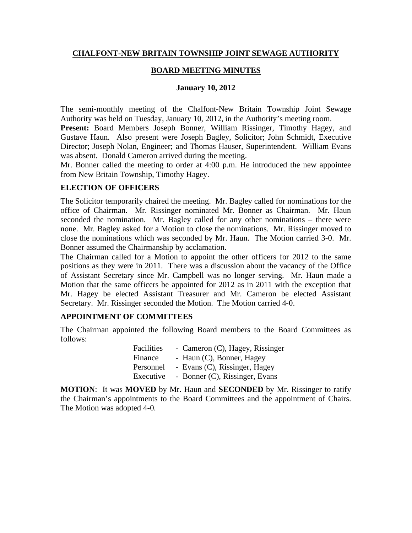#### **CHALFONT-NEW BRITAIN TOWNSHIP JOINT SEWAGE AUTHORITY**

#### **BOARD MEETING MINUTES**

#### **January 10, 2012**

The semi-monthly meeting of the Chalfont-New Britain Township Joint Sewage Authority was held on Tuesday, January 10, 2012, in the Authority's meeting room.

**Present:** Board Members Joseph Bonner, William Rissinger, Timothy Hagey, and Gustave Haun. Also present were Joseph Bagley, Solicitor; John Schmidt, Executive Director; Joseph Nolan, Engineer; and Thomas Hauser, Superintendent. William Evans was absent. Donald Cameron arrived during the meeting.

Mr. Bonner called the meeting to order at 4:00 p.m. He introduced the new appointee from New Britain Township, Timothy Hagey.

#### **ELECTION OF OFFICERS**

The Solicitor temporarily chaired the meeting. Mr. Bagley called for nominations for the office of Chairman. Mr. Rissinger nominated Mr. Bonner as Chairman. Mr. Haun seconded the nomination. Mr. Bagley called for any other nominations – there were none. Mr. Bagley asked for a Motion to close the nominations. Mr. Rissinger moved to close the nominations which was seconded by Mr. Haun. The Motion carried 3-0. Mr. Bonner assumed the Chairmanship by acclamation.

The Chairman called for a Motion to appoint the other officers for 2012 to the same positions as they were in 2011. There was a discussion about the vacancy of the Office of Assistant Secretary since Mr. Campbell was no longer serving. Mr. Haun made a Motion that the same officers be appointed for 2012 as in 2011 with the exception that Mr. Hagey be elected Assistant Treasurer and Mr. Cameron be elected Assistant Secretary. Mr. Rissinger seconded the Motion. The Motion carried 4-0.

#### **APPOINTMENT OF COMMITTEES**

The Chairman appointed the following Board members to the Board Committees as follows:

| Facilities | - Cameron (C), Hagey, Rissinger |
|------------|---------------------------------|
| Finance    | - Haun (C), Bonner, Hagey       |
| Personnel  | - Evans (C), Rissinger, Hagey   |
| Executive  | - Bonner (C), Rissinger, Evans  |

**MOTION**: It was **MOVED** by Mr. Haun and **SECONDED** by Mr. Rissinger to ratify the Chairman's appointments to the Board Committees and the appointment of Chairs. The Motion was adopted 4-0.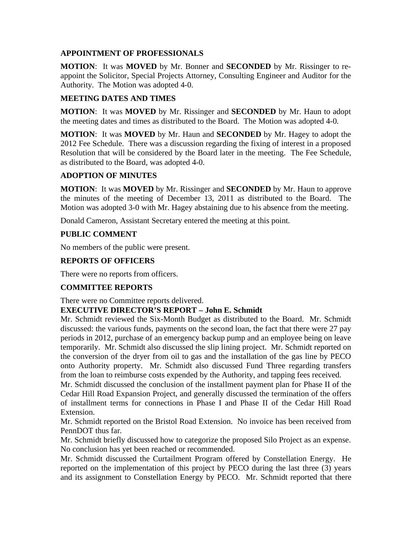## **APPOINTMENT OF PROFESSIONALS**

**MOTION**: It was **MOVED** by Mr. Bonner and **SECONDED** by Mr. Rissinger to reappoint the Solicitor, Special Projects Attorney, Consulting Engineer and Auditor for the Authority. The Motion was adopted 4-0.

### **MEETING DATES AND TIMES**

**MOTION**: It was **MOVED** by Mr. Rissinger and **SECONDED** by Mr. Haun to adopt the meeting dates and times as distributed to the Board. The Motion was adopted 4-0.

**MOTION**: It was **MOVED** by Mr. Haun and **SECONDED** by Mr. Hagey to adopt the 2012 Fee Schedule. There was a discussion regarding the fixing of interest in a proposed Resolution that will be considered by the Board later in the meeting. The Fee Schedule, as distributed to the Board, was adopted 4-0.

#### **ADOPTION OF MINUTES**

**MOTION**: It was **MOVED** by Mr. Rissinger and **SECONDED** by Mr. Haun to approve the minutes of the meeting of December 13, 2011 as distributed to the Board. The Motion was adopted 3-0 with Mr. Hagey abstaining due to his absence from the meeting.

Donald Cameron, Assistant Secretary entered the meeting at this point.

## **PUBLIC COMMENT**

No members of the public were present.

# **REPORTS OF OFFICERS**

There were no reports from officers.

## **COMMITTEE REPORTS**

There were no Committee reports delivered.

## **EXECUTIVE DIRECTOR'S REPORT – John E. Schmidt**

Mr. Schmidt reviewed the Six-Month Budget as distributed to the Board. Mr. Schmidt discussed: the various funds, payments on the second loan, the fact that there were 27 pay periods in 2012, purchase of an emergency backup pump and an employee being on leave temporarily. Mr. Schmidt also discussed the slip lining project. Mr. Schmidt reported on the conversion of the dryer from oil to gas and the installation of the gas line by PECO onto Authority property. Mr. Schmidt also discussed Fund Three regarding transfers from the loan to reimburse costs expended by the Authority, and tapping fees received.

Mr. Schmidt discussed the conclusion of the installment payment plan for Phase II of the Cedar Hill Road Expansion Project, and generally discussed the termination of the offers of installment terms for connections in Phase I and Phase II of the Cedar Hill Road Extension.

Mr. Schmidt reported on the Bristol Road Extension. No invoice has been received from PennDOT thus far.

Mr. Schmidt briefly discussed how to categorize the proposed Silo Project as an expense. No conclusion has yet been reached or recommended.

Mr. Schmidt discussed the Curtailment Program offered by Constellation Energy. He reported on the implementation of this project by PECO during the last three (3) years and its assignment to Constellation Energy by PECO. Mr. Schmidt reported that there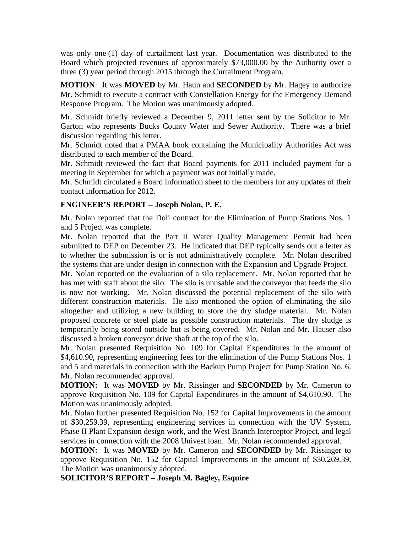was only one (1) day of curtailment last year. Documentation was distributed to the Board which projected revenues of approximately \$73,000.00 by the Authority over a three (3) year period through 2015 through the Curtailment Program.

**MOTION**: It was **MOVED** by Mr. Haun and **SECONDED** by Mr. Hagey to authorize Mr. Schmidt to execute a contract with Constellation Energy for the Emergency Demand Response Program. The Motion was unanimously adopted.

Mr. Schmidt briefly reviewed a December 9, 2011 letter sent by the Solicitor to Mr. Garton who represents Bucks County Water and Sewer Authority. There was a brief discussion regarding this letter.

Mr. Schmidt noted that a PMAA book containing the Municipality Authorities Act was distributed to each member of the Board.

Mr. Schmidt reviewed the fact that Board payments for 2011 included payment for a meeting in September for which a payment was not initially made.

Mr. Schmidt circulated a Board information sheet to the members for any updates of their contact information for 2012.

## **ENGINEER'S REPORT – Joseph Nolan, P. E.**

Mr. Nolan reported that the Doli contract for the Elimination of Pump Stations Nos. 1 and 5 Project was complete.

Mr. Nolan reported that the Part II Water Quality Management Permit had been submitted to DEP on December 23. He indicated that DEP typically sends out a letter as to whether the submission is or is not administratively complete. Mr. Nolan described the systems that are under design in connection with the Expansion and Upgrade Project.

Mr. Nolan reported on the evaluation of a silo replacement. Mr. Nolan reported that he has met with staff about the silo. The silo is unusable and the conveyor that feeds the silo is now not working. Mr. Nolan discussed the potential replacement of the silo with different construction materials. He also mentioned the option of eliminating the silo altogether and utilizing a new building to store the dry sludge material. Mr. Nolan proposed concrete or steel plate as possible construction materials. The dry sludge is temporarily being stored outside but is being covered. Mr. Nolan and Mr. Hauser also discussed a broken conveyor drive shaft at the top of the silo.

Mr. Nolan presented Requisition No. 109 for Capital Expenditures in the amount of \$4,610.90, representing engineering fees for the elimination of the Pump Stations Nos. 1 and 5 and materials in connection with the Backup Pump Project for Pump Station No. 6. Mr. Nolan recommended approval.

**MOTION:** It was **MOVED** by Mr. Rissinger and **SECONDED** by Mr. Cameron to approve Requisition No. 109 for Capital Expenditures in the amount of \$4,610.90. The Motion was unanimously adopted.

Mr. Nolan further presented Requisition No. 152 for Capital Improvements in the amount of \$30,259.39, representing engineering services in connection with the UV System, Phase II Plant Expansion design work, and the West Branch Interceptor Project, and legal services in connection with the 2008 Univest loan. Mr. Nolan recommended approval.

**MOTION:** It was **MOVED** by Mr. Cameron and **SECONDED** by Mr. Rissinger to approve Requisition No. 152 for Capital Improvements in the amount of \$30,269.39. The Motion was unanimously adopted.

**SOLICITOR'S REPORT – Joseph M. Bagley, Esquire**